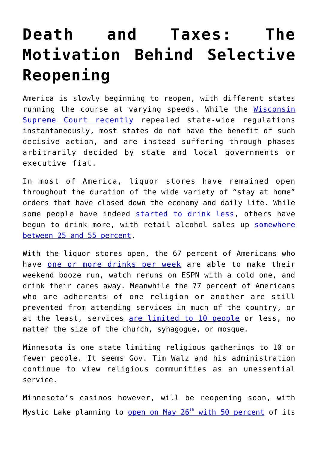## **[Death and Taxes: The](https://intellectualtakeout.org/2020/05/death-and-taxes-the-motivation-behind-selective-reopening/) [Motivation Behind Selective](https://intellectualtakeout.org/2020/05/death-and-taxes-the-motivation-behind-selective-reopening/) [Reopening](https://intellectualtakeout.org/2020/05/death-and-taxes-the-motivation-behind-selective-reopening/)**

America is slowly beginning to reopen, with different states running the course at varying speeds. While the [Wisconsin](https://www.intellectualtakeout.org/wisconsins-safer-at-home-order-unlawful-invalid-and-unenforceable/) [Supreme Court recently](https://www.intellectualtakeout.org/wisconsins-safer-at-home-order-unlawful-invalid-and-unenforceable/) repealed state-wide regulations instantaneously, most states do not have the benefit of such decisive action, and are instead suffering through phases arbitrarily decided by state and local governments or executive fiat.

In most of America, liquor stores have remained open throughout the duration of the wide variety of "stay at home" orders that have closed down the economy and daily life. While some people have indeed [started to drink less,](https://www.bbc.com/news/uk-52329679) others have begun to drink more, with retail alcohol sales up [somewhere](https://www.theguardian.com/us-news/2020/apr/27/coronavirus-pandemic-drinking-alcohol) [between 25 and 55 percent.](https://www.theguardian.com/us-news/2020/apr/27/coronavirus-pandemic-drinking-alcohol)

With the liquor stores open, the 67 percent of Americans who have [one or more drinks per week](http://arg.org/news/drinking-norms-in-the-us/) are able to make their weekend booze run, watch reruns on ESPN with a cold one, and drink their cares away. Meanwhile the 77 percent of Americans who are adherents of one religion or another are still prevented from attending services in much of the country, or at the least, services [are limited to 10 people](https://www.archspm.org/update-from-archbishop-hebda-regarding-public-masses/) or less, no matter the size of the church, synagogue, or mosque.

Minnesota is one state limiting religious gatherings to 10 or fewer people. It seems Gov. Tim Walz and his administration continue to view religious communities as an unessential service.

Minnesota's casinos however, will be reopening soon, with Mystic Lake planning to [open on May 26](https://www.kare11.com/article/news/health/coronavirus/minnesota-casinos-announce-reopening-plans/89-45b15b8c-37f1-4ba6-8ba7-31b972c3fc7b)<sup>[th](https://www.kare11.com/article/news/health/coronavirus/minnesota-casinos-announce-reopening-plans/89-45b15b8c-37f1-4ba6-8ba7-31b972c3fc7b)</sup> [with 50 percent](https://www.kare11.com/article/news/health/coronavirus/minnesota-casinos-announce-reopening-plans/89-45b15b8c-37f1-4ba6-8ba7-31b972c3fc7b) of its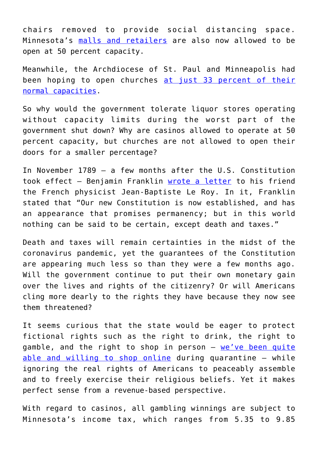chairs removed to provide social distancing space. Minnesota's [malls and retailers](https://www.mprnews.org/story/2020/05/14/what-you-need-to-know-about-minnesotas-stay-safe-order) are also now allowed to be open at 50 percent capacity.

Meanwhile, the Archdiocese of St. Paul and Minneapolis had been hoping to open churches [at just 33 percent of their](https://www.archspm.org/letter-from-archbishop-hebda-to-faithful-following-extension-of-governors-stay-at-home-order/) [normal capacities.](https://www.archspm.org/letter-from-archbishop-hebda-to-faithful-following-extension-of-governors-stay-at-home-order/)

So why would the government tolerate liquor stores operating without capacity limits during the worst part of the government shut down? Why are casinos allowed to operate at 50 percent capacity, but churches are not allowed to open their doors for a smaller percentage?

In November 1789 – a few months after the U.S. Constitution took effect – Benjamin Franklin [wrote a letter](https://archive.org/stream/writingsofbenjam10franuoft/writingsofbenjam10franuoft_djvu.txt) to his friend the French physicist Jean-Baptiste Le Roy. In it, Franklin stated that "Our new Constitution is now established, and has an appearance that promises permanency; but in this world nothing can be said to be certain, except death and taxes."

Death and taxes will remain certainties in the midst of the coronavirus pandemic, yet the guarantees of the Constitution are appearing much less so than they were a few months ago. Will the government continue to put their own monetary gain over the lives and rights of the citizenry? Or will Americans cling more dearly to the rights they have because they now see them threatened?

It seems curious that the state would be eager to protect fictional rights such as the right to drink, the right to gamble, and the right to shop in person  $-$  [we've been quite](https://www.cnbc.com/2020/04/19/coronavirus-what-americans-are-buying-online-while-in-quarantine.html) [able and willing to shop online](https://www.cnbc.com/2020/04/19/coronavirus-what-americans-are-buying-online-while-in-quarantine.html) during quarantine – while ignoring the real rights of Americans to peaceably assemble and to freely exercise their religious beliefs. Yet it makes perfect sense from a revenue-based perspective.

With regard to casinos, all gambling winnings are subject to Minnesota's income tax, which ranges from 5.35 to 9.85